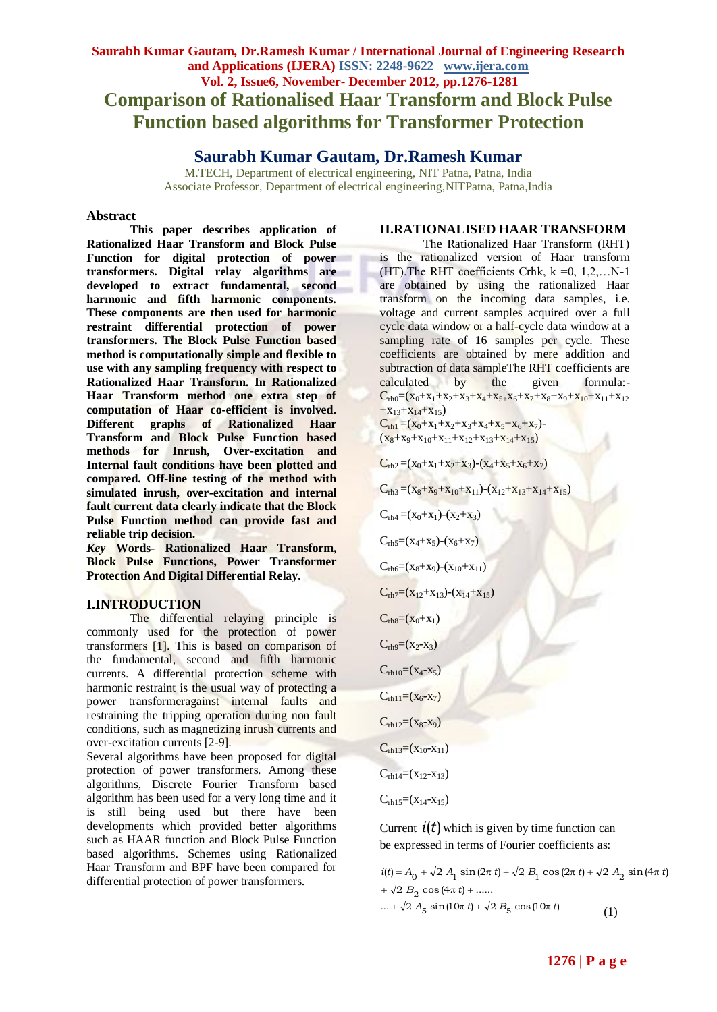# **Saurabh Kumar Gautam, Dr.Ramesh Kumar / International Journal of Engineering Research and Applications (IJERA) ISSN: 2248-9622 www.ijera.com Vol. 2, Issue6, November- December 2012, pp.1276-1281 Comparison of Rationalised Haar Transform and Block Pulse Function based algorithms for Transformer Protection**

## **Saurabh Kumar Gautam, Dr.Ramesh Kumar**

M.TECH, Department of electrical engineering, NIT Patna, Patna, India Associate Professor, Department of electrical engineering,NITPatna, Patna,India

#### **Abstract**

**This paper describes application of Rationalized Haar Transform and Block Pulse Function for digital protection of power transformers. Digital relay algorithms are developed to extract fundamental, second harmonic and fifth harmonic components. These components are then used for harmonic restraint differential protection of power transformers. The Block Pulse Function based method is computationally simple and flexible to use with any sampling frequency with respect to Rationalized Haar Transform. In Rationalized Haar Transform method one extra step of computation of Haar co-efficient is involved. Different graphs of Rationalized Haar Transform and Block Pulse Function based methods for Inrush, Over-excitation and Internal fault conditions have been plotted and compared. Off-line testing of the method with simulated inrush, over-excitation and internal fault current data clearly indicate that the Block Pulse Function method can provide fast and reliable trip decision.**

*Key* **Words- Rationalized Haar Transform, Block Pulse Functions, Power Transformer Protection And Digital Differential Relay.**

#### **I.INTRODUCTION**

The differential relaying principle is commonly used for the protection of power transformers [1]. This is based on comparison of the fundamental, second and fifth harmonic currents. A differential protection scheme with harmonic restraint is the usual way of protecting a power transformeragainst internal faults and restraining the tripping operation during non fault conditions, such as magnetizing inrush currents and over-excitation currents [2-9].

Several algorithms have been proposed for digital protection of power transformers. Among these algorithms, Discrete Fourier Transform based algorithm has been used for a very long time and it is still being used but there have been developments which provided better algorithms such as HAAR function and Block Pulse Function based algorithms. Schemes using Rationalized Haar Transform and BPF have been compared for differential protection of power transformers.

#### **II.RATIONALISED HAAR TRANSFORM**

The Rationalized Haar Transform (RHT) is the rationalized version of Haar transform (HT). The RHT coefficients Crhk,  $k = 0, 1, 2, \ldots N-1$ are obtained by using the rationalized Haar transform on the incoming data samples, i.e. voltage and current samples acquired over a full cycle data window or a half-cycle data window at a sampling rate of 16 samples per cycle. These coefficients are obtained by mere addition and subtraction of data sampleThe RHT coefficients are calculated by the given formula:-  $C_{rh0}=(x_0+x_1+x_2+x_3+x_4+x_5+x_6+x_7+x_8+x_9+x_{10}+x_{11}+x_{12}$  $+x_{13}+x_{14}+x_{15}$ 

 $C_{rh1} = (x_0 + x_1 + x_2 + x_3 + x_4 + x_5 + x_6 + x_7)$  $(x_8+x_9+x_{10}+x_{11}+x_{12}+x_{13}+x_{14}+x_{15})$ 

 $C_{rh2} = (x_0 + x_1 + x_2 + x_3) - (x_4 + x_5 + x_6 + x_7)$ 

 $C_{rh3} = (x_8 + x_9 + x_{10} + x_{11}) - (x_{12} + x_{13} + x_{14} + x_{15})$ 

 $C_{rh4} = (x_0 + x_1) - (x_2 + x_3)$ 

 $C_{rh5}=(x_4+x_5)-(x_6+x_7)$ 

 $C_{\text{rhof}}=(x_8+x_9)-(x_{10}+x_{11})$ 

 $C_{rh7}=(x_{12}+x_{13})-(x_{14}+x_{15})$ 

 $C_{rh8}=(x_0+x_1)$ 

 $C_{rh9} = (x_2 - x_3)$ 

 $C_{rh10}=(x_4-x_5)$ 

 $C_{rh11} = (x_6-x_7)$ 

 $C_{rh12}=(x_8-x_9)$ 

 $C_{rh13}=(x_{10}-x_{11})$ 

 $C_{rh14}=(x_{12}-x_{13})$ 

 $C_{\text{rh15}} = (X_{14}-X_{15})$ 

Current  $i(t)$  which is given by time function can be expressed in terms of Fourier coefficients as:

 $i(t) = A_0 + \sqrt{2} A_1 \sin(2\pi t) + \sqrt{2} B_1 \cos(2\pi t) + \sqrt{2} A_2 \sin(4\pi t)$  $+ \sqrt{2} B_2 \cos(4\pi t) + .....$ ... +  $\sqrt{2} A_5 \sin(10\pi t) + \sqrt{2} B_5 \cos(10\pi t)$ (1)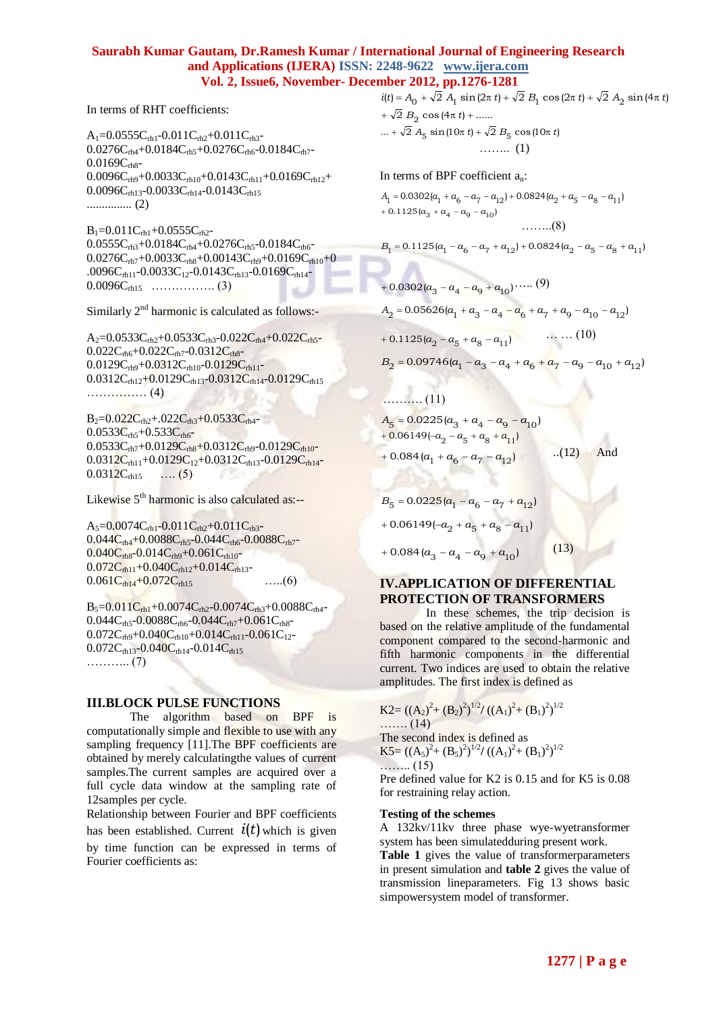#### **Saurabh Kumar Gautam, Dr.Ramesh Kumar / International Journal of Engineering Research and Applications (IJERA) ISSN: 2248-9622 www.ijera.com Vol. 2, Issue6, November- December 2012, pp.1276-1281**

In terms of RHT coefficients:

 $A_1=0.0555C_{rh1}-0.011C_{rh2}+0.011C_{rh3} 0.0276C_{rh4}+0.0184C_{rh5}+0.0276C_{rh6}$ -0.0184 $C_{rh7}$ - $0.0169C_{\text{rh}8}$ - $0.0096C<sub>rh9</sub>+0.0033C<sub>rh10</sub>+0.0143C<sub>rh11</sub>+0.0169C<sub>rh12</sub>$ +  $0.0096C<sub>rh13</sub> - 0.0033C<sub>rh14</sub> - 0.0143C<sub>rh15</sub>$ ............... (2)

 $B_1=0.011C_{rh1}+0.0555C_{rh2}$  $0.0555C<sub>rh3</sub>+0.0184C<sub>rh4</sub>+0.0276C<sub>rh5</sub>-0.0184C<sub>rh6</sub>$  $0.0276C_{rh7}+0.0033C_{rh8}+0.00143C_{rh9}+0.0169C_{rh10}+0$ .0096C<sub>th11</sub>-0.0033C<sub>12</sub>-0.0143C<sub>th13</sub>-0.0169C<sub>th14</sub>- $0.0096C_{\text{rh15}}$  …………….. (3)

Similarly 2<sup>nd</sup> harmonic is calculated as follows:-

 $A_2=0.0533C_{rh2}+0.0533C_{rh3}-0.022C_{rh4}+0.022C_{rh5} 0.022C<sub>th6</sub>+0.022C<sub>th7</sub>-0.0312C<sub>th8</sub>$ - $0.0129C<sub>rh9</sub>+0.0312C<sub>rh10</sub>-0.0129C<sub>rh11</sub>$ - $0.0312C<sub>rh12</sub>+0.0129C<sub>rh13</sub>-0.0312C<sub>rh14</sub>-0.0129C<sub>rh15</sub>$ …………… (4)

 $B_2=0.022C_{rh2}+.022C_{rh3}+0.0533C_{rh4}$ - $0.0533C_{\rm rh5}+0.533C_{\rm rh6}$ - $0.0533C_{rh7}+0.0129C_{rh8}+0.0312C_{rh9}-0.0129C_{rh10}$  $0.0312C<sub>rh11</sub>+0.0129C<sub>12</sub>+0.0312C<sub>rh13</sub>-0.0129C<sub>rh14</sub>$  $0.0312C_{\text{rh15}}$  .... (5)

Likewise  $5<sup>th</sup>$  harmonic is also calculated as:--

 $A_5=0.0074C_{rh1}-0.011C_{rh2}+0.011C_{rh3}$  $0.044C<sub>rh4</sub>+0.0088C<sub>rh5</sub>-0.044C<sub>rh6</sub>-0.0088C<sub>rh7</sub>$  $0.040C_{\text{rh}}8$ -0.014 $C_{\text{rh}}9$ +0.061 $C_{\text{rh}}10$ - $0.072C<sub>rh11</sub>+0.040C<sub>rh12</sub>+0.014C<sub>rh13</sub>$  $0.061C_{\text{rh14}} + 0.072C_{\text{rh15}}$  .....(6)

 $B_5=0.011C_{rh1}+0.0074C_{rh2}-0.0074C_{rh3}+0.0088C_{rh4}$  $0.044C<sub>rh5</sub> - 0.0088C<sub>rh6</sub> - 0.044C<sub>rh7</sub> + 0.061C<sub>rh8</sub> 0.072C_{rh9}+0.040C_{rh10}+0.014C_{rh11}$ -0.061C<sub>12</sub>- $0.072C<sub>rh13</sub> - 0.040C<sub>rh14</sub> - 0.014C<sub>rh15</sub>$ ……….. (7)

## **III.BLOCK PULSE FUNCTIONS**

The algorithm based on BPF is computationally simple and flexible to use with any sampling frequency [11].The BPF coefficients are obtained by merely calculatingthe values of current samples.The current samples are acquired over a full cycle data window at the sampling rate of 12samples per cycle.

Relationship between Fourier and BPF coefficients has been established. Current  $i(t)$  which is given by time function can be expressed in terms of Fourier coefficients as:

 $i(t) = A_0 + \sqrt{2} A_1 \sin(2\pi t) + \sqrt{2} B_1 \cos(2\pi t) + \sqrt{2} A_2 \sin(4\pi t)$  $+ \sqrt{2} B_2 \cos(4\pi t) + \dots$ ... +  $\sqrt{2} A_5 \sin(10\pi t) + \sqrt{2} B_5 \cos(10\pi t)$ …….. (1)

In terms of BPF coefficient a<sup>n</sup> :

л

0.0302( ) 0.0824( ) <sup>1</sup> <sup>1</sup> <sup>6</sup> <sup>7</sup> <sup>12</sup> <sup>2</sup> <sup>5</sup> <sup>8</sup> <sup>11</sup> *<sup>A</sup> <sup>a</sup> <sup>a</sup> <sup>a</sup> <sup>a</sup> <sup>a</sup> <sup>a</sup> <sup>a</sup> <sup>a</sup>* 0.1125( ) <sup>3</sup> <sup>4</sup> <sup>9</sup> <sup>10</sup> *a a a a* ……..(8)

$$
B_1 = 0.1125(a_1 - a_6 - a_7 + a_{12}) + 0.0824(a_2 - a_5 - a_8 + a_{11})
$$

$$
+ 0.0302(a_3 - a_4 - a_9 + a_{10}) \cdots (9)
$$
  
\n
$$
A_2 = 0.05626(a_1 + a_3 - a_4 - a_6 + a_7 + a_9 - a_{10} - a_{12})
$$
  
\n
$$
+ 0.1125(a_2 - a_5 + a_8 - a_{11}) \qquad \qquad (10)
$$
  
\n
$$
B_2 = 0.09746(a_1 - a_3 - a_4 + a_6 + a_7 - a_9 - a_{10} + a_{12})
$$

$$
A_5 = 0.0225(a_3 + a_4 - a_9 - a_{10})
$$
  
+ 0.06149(-a<sub>2</sub> - a<sub>5</sub> + a<sub>8</sub> + a<sub>11</sub>)  
+ 0.084(a<sub>1</sub> + a<sub>6</sub> - a<sub>7</sub> - a<sub>12</sub>) ...(12) And

 $B_5 = 0.0225(a_1 - a_6 - a_7 + a_{12})$  $+ 0.06149(-a_2 + a_5 + a_8 - a_{11})$  $+0.084(a_3 - a_4 - a_9 + a_{10})$ 

#### **IV.APPLICATION OF DIFFERENTIAL PROTECTION OF TRANSFORMERS**

 $(13)$ 

In these schemes, the trip decision is based on the relative amplitude of the fundamental component compared to the second-harmonic and fifth harmonic components in the differential current. Two indices are used to obtain the relative amplitudes. The first index is defined as

K2= 
$$
((A_2)^2 + (B_2)^2)^{1/2} / ((A_1)^2 + (B_1)^2)^{1/2}
$$
  
\n........ (14)  
\nThe second index is defined as  
\nK5=  $((A_5)^2 + (B_5)^2)^{1/2} / ((A_1)^2 + (B_1)^2)^{1/2}$   
\n........ (15)

Pre defined value for K2 is 0.15 and for K5 is 0.08 for restraining relay action.

#### **Testing of the schemes**

A 132kv/11kv three phase wye-wyetransformer system has been simulatedduring present work.

**Table 1** gives the value of transformerparameters in present simulation and **table 2** gives the value of transmission lineparameters. Fig 13 shows basic simpowersystem model of transformer.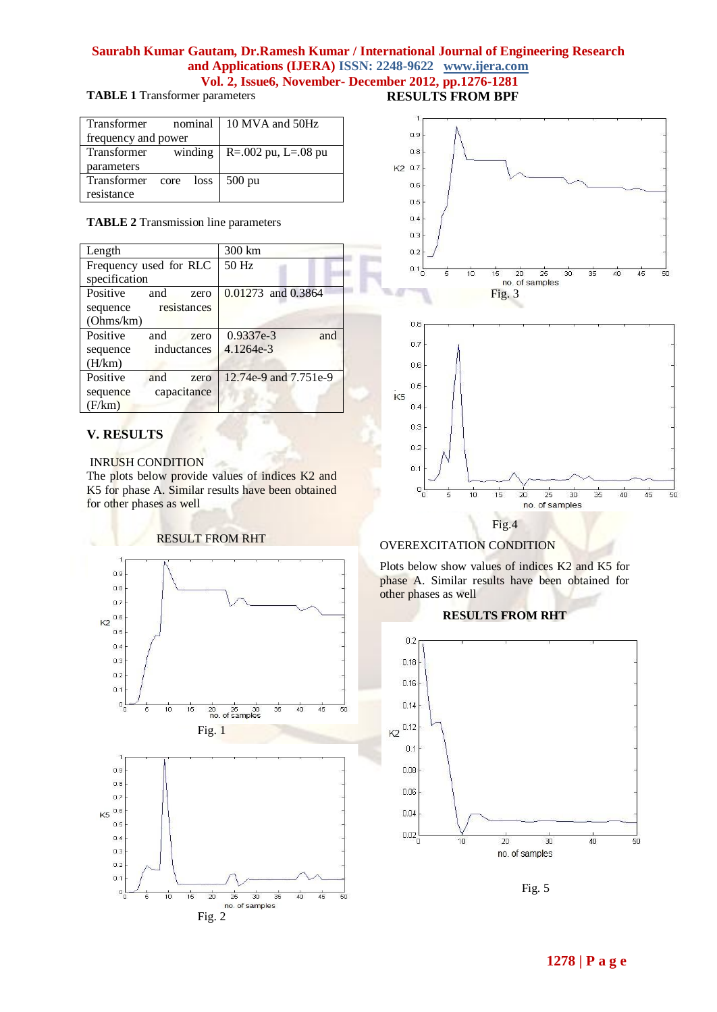## **Saurabh Kumar Gautam, Dr.Ramesh Kumar / International Journal of Engineering Research and Applications (IJERA) ISSN: 2248-9622 www.ijera.com Vol. 2, Issue6, November- December 2012, pp.1276-1281**

**TABLE 1** Transformer parameters

| Transformer                    |  | nominal 10 MVA and 50Hz             |
|--------------------------------|--|-------------------------------------|
| frequency and power            |  |                                     |
| Transformer                    |  | winding $\vert$ R=.002 pu, L=.08 pu |
| parameters                     |  |                                     |
| Transformer core loss   500 pu |  |                                     |
| resistance                     |  |                                     |

**TABLE 2** Transmission line parameters

| Length                  | 300 km                |
|-------------------------|-----------------------|
| Frequency used for RLC  | 50 Hz                 |
| specification           |                       |
| Positive<br>and<br>zero | 0.01273 and 0.3864    |
| resistances<br>sequence |                       |
| (Ohms/km)               |                       |
| Positive<br>and<br>zero | 0.9337e-3<br>and      |
| inductances<br>sequence | 4.1264e-3             |
| (H/km)                  |                       |
| Positive<br>and<br>zero | 12.74e-9 and 7.751e-9 |
| capacitance<br>sequence |                       |
| (F/km)                  |                       |

# **V. RESULTS**

#### INRUSH CONDITION

The plots below provide values of indices K2 and K5 for phase A. Similar results have been obtained for other phases as well







# OVEREXCITATION CONDITION

 $10$ 

 $0.1$ 

 $0\frac{1}{0}$ 

5

Plots below show values of indices K2 and K5 for phase A. Similar results have been obtained for other phases as well

Fig.4

 $15$  $20$   $\overline{25}$ 

no. of samples

 $\overline{30}$ 

 $\overline{35}$ 

 $40$ 

 $45$ 

 $50$ 

## **RESULTS FROM RHT**



Fig. 5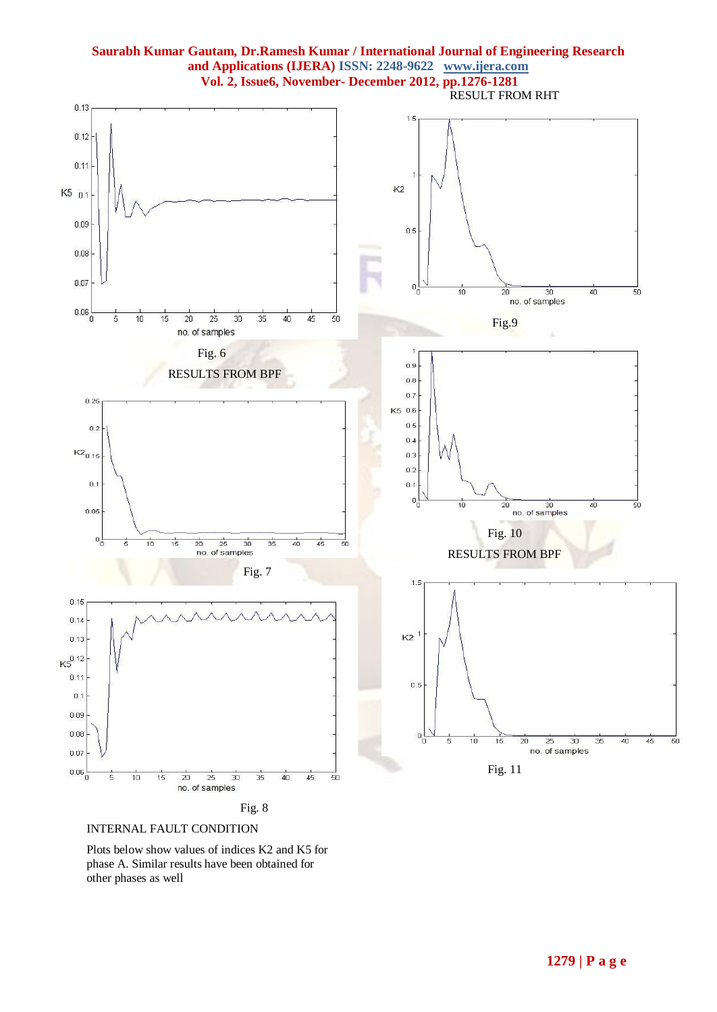



Plots below show values of indices K2 and K5 for phase A. Similar results have been obtained for other phases as well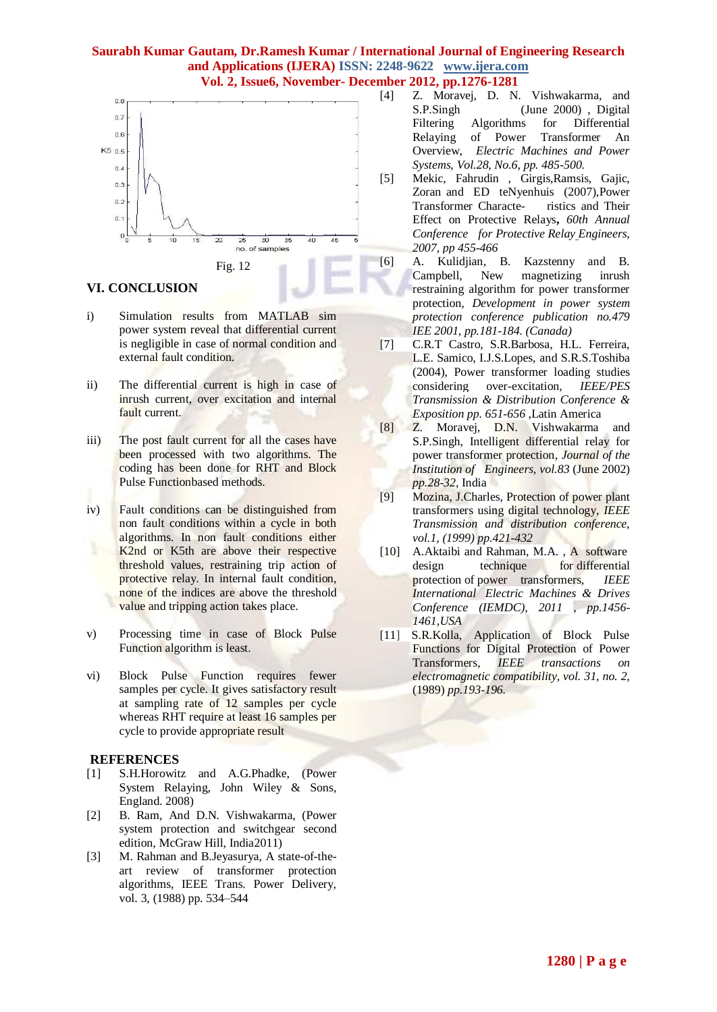# **Saurabh Kumar Gautam, Dr.Ramesh Kumar / International Journal of Engineering Research and Applications (IJERA) ISSN: 2248-9622 www.ijera.com**

**Vol. 2, Issue6, November- December 2012, pp.1276-1281**



## **VI. CONCLUSION**

- i) Simulation results from MATLAB sim power system reveal that differential current is negligible in case of normal condition and external fault condition.
- ii) The differential current is high in case of inrush current, over excitation and internal fault current.
- iii) The post fault current for all the cases have been processed with two algorithms. The coding has been done for RHT and Block Pulse Functionbased methods.
- iv) Fault conditions can be distinguished from non fault conditions within a cycle in both algorithms. In non fault conditions either K2nd or K5th are above their respective threshold values, restraining trip action of protective relay. In internal fault condition, none of the indices are above the threshold value and tripping action takes place.
- v) Processing time in case of Block Pulse Function algorithm is least.
- vi) Block Pulse Function requires fewer samples per cycle. It gives satisfactory result at sampling rate of 12 samples per cycle whereas RHT require at least 16 samples per cycle to provide appropriate result

#### **REFERENCES**

- [1] S.H.Horowitz and A.G.Phadke, (Power System Relaying, John Wiley & Sons, England. 2008)
- [2] B. Ram, And D.N. Vishwakarma, (Power system protection and switchgear second edition, McGraw Hill, India2011)
- [3] M. Rahman and B.Jeyasurya, A state-of-theart review of transformer protection algorithms, IEEE Trans. Power Delivery, vol. 3, (1988) pp. 534–544
- [4] Z. Moravej, D. N. Vishwakarma, and S.P.Singh (June 2000) , Digital Filtering Algorithms for Differential Relaying of Power Transformer An Overview, *Electric Machines and Power Systems, Vol.28, No.6, pp. 485-500.*
- [5] Mekic, Fahrudin , Girgis,Ramsis, Gajic, Zoran and ED teNyenhuis (2007),Power Transformer Characte- ristics and Their Effect on Protective Relays**,** *60th Annual Conference for Protective Relay Engineers, 2007, pp 455-466*
- [6] A. Kulidjian, B. Kazstenny and B. Campbell, New magnetizing inrush restraining algorithm for power transformer protection*, Development in power system protection conference publication no.479 IEE 2001, pp.181-184. (Canada)*
- [7] C.R.T Castro, S.R.Barbosa, H.L. Ferreira, L.E. Samico, I.J.S.Lopes, and S.R.S.Toshiba (2004), Power transformer loading studies considering over-excitation, *IEEE/PES Transmission & Distribution Conference & Exposition pp. 651-656* ,Latin America
- [8] Z. Moravej, D.N. Vishwakarma and S.P.Singh, Intelligent differential relay for power transformer protection, *Journal of the Institution of Engineers, vol.83* (June 2002) *pp.28-32,* India
- [9] Mozina, J.Charles, Protection of power plant transformers using digital technology, *IEEE Transmission and distribution conference, vol.1, (1999) pp.421-432*
- [10] A.Aktaibi and Rahman, M.A., A [software](http://ieeexplore.ieee.org/xpl/articleDetails.jsp?tp=&arnumber=5994823&contentType=Conference+Publications&queryText%3DA+Software+Design+Technique+for+Differential+Protection+of+Power+Transformers) design technique for [differential](http://ieeexplore.ieee.org/xpl/articleDetails.jsp?tp=&arnumber=5994823&contentType=Conference+Publications&queryText%3DA+Software+Design+Technique+for+Differential+Protection+of+Power+Transformers) protection of power [transformers,](http://ieeexplore.ieee.org/xpl/articleDetails.jsp?tp=&arnumber=5994823&contentType=Conference+Publications&queryText%3DA+Software+Design+Technique+for+Differential+Protection+of+Power+Transformers) *IEEE International [Electric Machines & Drives](http://ieeexplore.ieee.org/xpl/mostRecentIssue.jsp?punumber=5981421)  [Conference \(IEMDC\), 2011 ,](http://ieeexplore.ieee.org/xpl/mostRecentIssue.jsp?punumber=5981421) pp.1456- 1461,USA*
- [11] S.R.Kolla, Application of Block Pulse Functions for Digital Protection of Power Transformers, *IEEE transactions on electromagnetic compatibility, vol. 31, no. 2,*  (1989) *pp.193-196.*